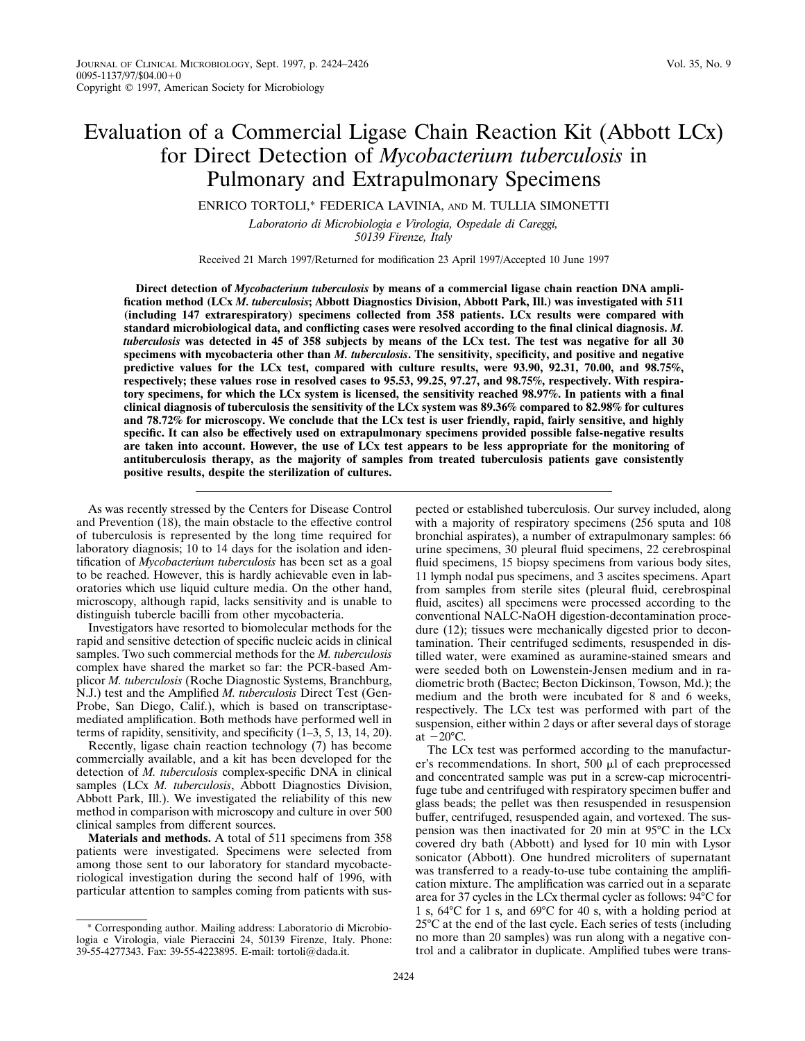## Evaluation of a Commercial Ligase Chain Reaction Kit (Abbott LCx) for Direct Detection of *Mycobacterium tuberculosis* in Pulmonary and Extrapulmonary Specimens

ENRICO TORTOLI,\* FEDERICA LAVINIA, AND M. TULLIA SIMONETTI

*Laboratorio di Microbiologia e Virologia, Ospedale di Careggi, 50139 Firenze, Italy*

Received 21 March 1997/Returned for modification 23 April 1997/Accepted 10 June 1997

**Direct detection of** *Mycobacterium tuberculosis* **by means of a commercial ligase chain reaction DNA amplification method (LCx** *M. tuberculosis***; Abbott Diagnostics Division, Abbott Park, Ill.) was investigated with 511 (including 147 extrarespiratory) specimens collected from 358 patients. LCx results were compared with standard microbiological data, and conflicting cases were resolved according to the final clinical diagnosis.** *M. tuberculosis* **was detected in 45 of 358 subjects by means of the LCx test. The test was negative for all 30 specimens with mycobacteria other than** *M. tuberculosis***. The sensitivity, specificity, and positive and negative predictive values for the LCx test, compared with culture results, were 93.90, 92.31, 70.00, and 98.75%, respectively; these values rose in resolved cases to 95.53, 99.25, 97.27, and 98.75%, respectively. With respiratory specimens, for which the LCx system is licensed, the sensitivity reached 98.97%. In patients with a final clinical diagnosis of tuberculosis the sensitivity of the LCx system was 89.36% compared to 82.98% for cultures and 78.72% for microscopy. We conclude that the LCx test is user friendly, rapid, fairly sensitive, and highly specific. It can also be effectively used on extrapulmonary specimens provided possible false-negative results are taken into account. However, the use of LCx test appears to be less appropriate for the monitoring of antituberculosis therapy, as the majority of samples from treated tuberculosis patients gave consistently positive results, despite the sterilization of cultures.**

As was recently stressed by the Centers for Disease Control and Prevention (18), the main obstacle to the effective control of tuberculosis is represented by the long time required for laboratory diagnosis; 10 to 14 days for the isolation and identification of *Mycobacterium tuberculosis* has been set as a goal to be reached. However, this is hardly achievable even in laboratories which use liquid culture media. On the other hand, microscopy, although rapid, lacks sensitivity and is unable to distinguish tubercle bacilli from other mycobacteria.

Investigators have resorted to biomolecular methods for the rapid and sensitive detection of specific nucleic acids in clinical samples. Two such commercial methods for the *M. tuberculosis* complex have shared the market so far: the PCR-based Amplicor *M. tuberculosis* (Roche Diagnostic Systems, Branchburg, N.J.) test and the Amplified *M. tuberculosis* Direct Test (Gen-Probe, San Diego, Calif.), which is based on transcriptasemediated amplification. Both methods have performed well in terms of rapidity, sensitivity, and specificity (1–3, 5, 13, 14, 20).

Recently, ligase chain reaction technology (7) has become commercially available, and a kit has been developed for the detection of *M. tuberculosis* complex-specific DNA in clinical samples (LCx *M. tuberculosis*, Abbott Diagnostics Division, Abbott Park, Ill.). We investigated the reliability of this new method in comparison with microscopy and culture in over 500 clinical samples from different sources.

**Materials and methods.** A total of 511 specimens from 358 patients were investigated. Specimens were selected from among those sent to our laboratory for standard mycobacteriological investigation during the second half of 1996, with particular attention to samples coming from patients with suspected or established tuberculosis. Our survey included, along with a majority of respiratory specimens (256 sputa and 108 bronchial aspirates), a number of extrapulmonary samples: 66 urine specimens, 30 pleural fluid specimens, 22 cerebrospinal fluid specimens, 15 biopsy specimens from various body sites, 11 lymph nodal pus specimens, and 3 ascites specimens. Apart from samples from sterile sites (pleural fluid, cerebrospinal fluid, ascites) all specimens were processed according to the conventional NALC-NaOH digestion-decontamination procedure (12); tissues were mechanically digested prior to decontamination. Their centrifuged sediments, resuspended in distilled water, were examined as auramine-stained smears and were seeded both on Lowenstein-Jensen medium and in radiometric broth (Bactec; Becton Dickinson, Towson, Md.); the medium and the broth were incubated for 8 and 6 weeks, respectively. The LCx test was performed with part of the suspension, either within 2 days or after several days of storage at  $-20^{\circ}$ C.

The LCx test was performed according to the manufacturer's recommendations. In short, 500  $\mu$ l of each preprocessed and concentrated sample was put in a screw-cap microcentrifuge tube and centrifuged with respiratory specimen buffer and glass beads; the pellet was then resuspended in resuspension buffer, centrifuged, resuspended again, and vortexed. The suspension was then inactivated for 20 min at 95°C in the LCx covered dry bath (Abbott) and lysed for 10 min with Lysor sonicator (Abbott). One hundred microliters of supernatant was transferred to a ready-to-use tube containing the amplification mixture. The amplification was carried out in a separate area for 37 cycles in the LCx thermal cycler as follows: 94°C for 1 s, 64°C for 1 s, and 69°C for 40 s, with a holding period at 25°C at the end of the last cycle. Each series of tests (including no more than 20 samples) was run along with a negative control and a calibrator in duplicate. Amplified tubes were trans-

<sup>\*</sup> Corresponding author. Mailing address: Laboratorio di Microbiologia e Virologia, viale Pieraccini 24, 50139 Firenze, Italy. Phone: 39-55-4277343. Fax: 39-55-4223895. E-mail: tortoli@dada.it.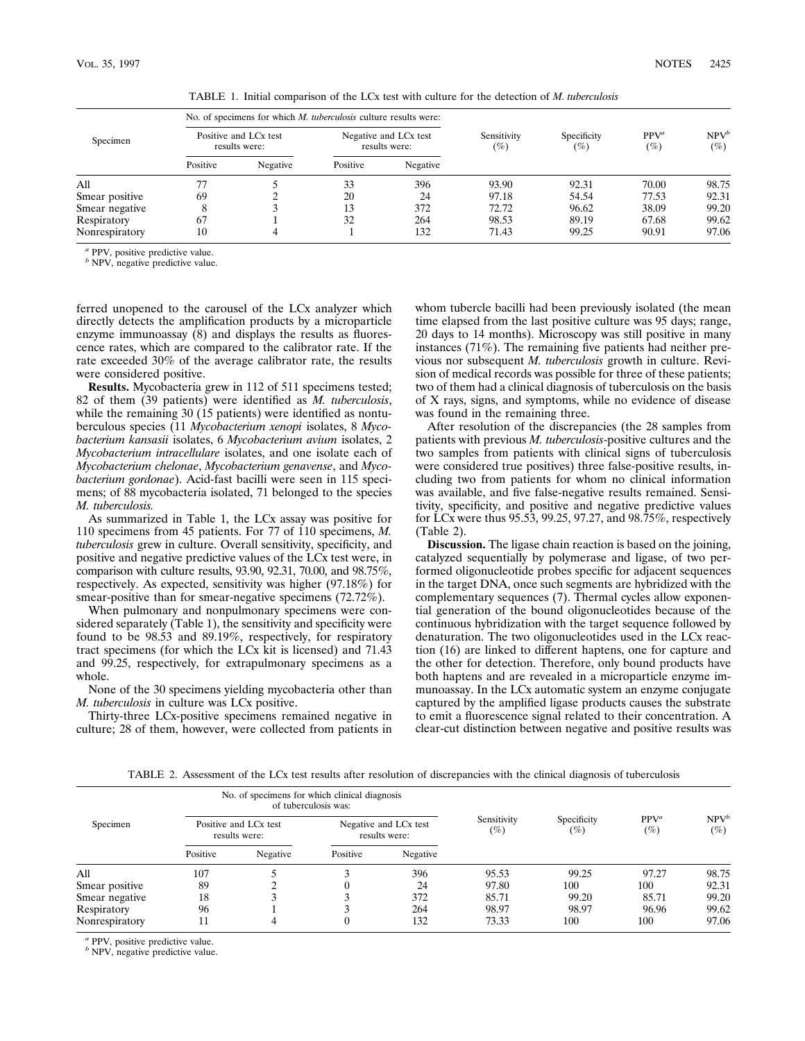| Specimen       |                                                    | No. of specimens for which <i>M. tuberculosis</i> culture results were: |                                                    |          |                       |                         |                   |                   |
|----------------|----------------------------------------------------|-------------------------------------------------------------------------|----------------------------------------------------|----------|-----------------------|-------------------------|-------------------|-------------------|
|                | Positive and LC <sub>x</sub> test<br>results were: |                                                                         | Negative and LC <sub>x</sub> test<br>results were: |          | Sensitivity<br>$(\%)$ | Specificity<br>$( \% )$ | $PPV^a$<br>$(\%)$ | $NPV^b$<br>$(\%)$ |
|                | Positive                                           | Negative                                                                | Positive                                           | Negative |                       |                         |                   |                   |
| All            | 77                                                 |                                                                         | 33                                                 | 396      | 93.90                 | 92.31                   | 70.00             | 98.75             |
| Smear positive | 69                                                 |                                                                         | 20                                                 | 24       | 97.18                 | 54.54                   | 77.53             | 92.31             |
| Smear negative | 8                                                  |                                                                         | 13                                                 | 372      | 72.72                 | 96.62                   | 38.09             | 99.20             |
| Respiratory    | 67                                                 |                                                                         | 32                                                 | 264      | 98.53                 | 89.19                   | 67.68             | 99.62             |
| Nonrespiratory | 10                                                 | 4                                                                       |                                                    | 132      | 71.43                 | 99.25                   | 90.91             | 97.06             |

TABLE 1. Initial comparison of the LCx test with culture for the detection of *M. tuberculosis*

*<sup>a</sup>* PPV, positive predictive value.

*b* NPV, negative predictive value.

ferred unopened to the carousel of the LCx analyzer which directly detects the amplification products by a microparticle enzyme immunoassay (8) and displays the results as fluorescence rates, which are compared to the calibrator rate. If the rate exceeded 30% of the average calibrator rate, the results were considered positive.

**Results.** Mycobacteria grew in 112 of 511 specimens tested; 82 of them (39 patients) were identified as *M. tuberculosis*, while the remaining 30 (15 patients) were identified as nontuberculous species (11 *Mycobacterium xenopi* isolates, 8 *Mycobacterium kansasii* isolates, 6 *Mycobacterium avium* isolates, 2 *Mycobacterium intracellulare* isolates, and one isolate each of *Mycobacterium chelonae*, *Mycobacterium genavense*, and *Mycobacterium gordonae*). Acid-fast bacilli were seen in 115 specimens; of 88 mycobacteria isolated, 71 belonged to the species *M. tuberculosis.*

As summarized in Table 1, the LCx assay was positive for 110 specimens from 45 patients. For 77 of 110 specimens, *M. tuberculosis* grew in culture. Overall sensitivity, specificity, and positive and negative predictive values of the LCx test were, in comparison with culture results, 93.90, 92.31, 70.00, and 98.75%, respectively. As expected, sensitivity was higher (97.18%) for smear-positive than for smear-negative specimens (72.72%).

When pulmonary and nonpulmonary specimens were considered separately (Table 1), the sensitivity and specificity were found to be 98.53 and 89.19%, respectively, for respiratory tract specimens (for which the LCx kit is licensed) and 71.43 and 99.25, respectively, for extrapulmonary specimens as a whole.

None of the 30 specimens yielding mycobacteria other than *M. tuberculosis* in culture was LCx positive.

Thirty-three LCx-positive specimens remained negative in culture; 28 of them, however, were collected from patients in whom tubercle bacilli had been previously isolated (the mean time elapsed from the last positive culture was 95 days; range, 20 days to 14 months). Microscopy was still positive in many instances (71%). The remaining five patients had neither previous nor subsequent *M. tuberculosis* growth in culture. Revision of medical records was possible for three of these patients; two of them had a clinical diagnosis of tuberculosis on the basis of X rays, signs, and symptoms, while no evidence of disease was found in the remaining three.

After resolution of the discrepancies (the 28 samples from patients with previous *M. tuberculosis*-positive cultures and the two samples from patients with clinical signs of tuberculosis were considered true positives) three false-positive results, including two from patients for whom no clinical information was available, and five false-negative results remained. Sensitivity, specificity, and positive and negative predictive values for LCx were thus 95.53, 99.25, 97.27, and 98.75%, respectively (Table 2).

**Discussion.** The ligase chain reaction is based on the joining, catalyzed sequentially by polymerase and ligase, of two performed oligonucleotide probes specific for adjacent sequences in the target DNA, once such segments are hybridized with the complementary sequences (7). Thermal cycles allow exponential generation of the bound oligonucleotides because of the continuous hybridization with the target sequence followed by denaturation. The two oligonucleotides used in the LCx reaction (16) are linked to different haptens, one for capture and the other for detection. Therefore, only bound products have both haptens and are revealed in a microparticle enzyme immunoassay. In the LCx automatic system an enzyme conjugate captured by the amplified ligase products causes the substrate to emit a fluorescence signal related to their concentration. A clear-cut distinction between negative and positive results was

TABLE 2. Assessment of the LCx test results after resolution of discrepancies with the clinical diagnosis of tuberculosis

| Specimen       |                                                    | No. of specimens for which clinical diagnosis | of tuberculosis was:                               |          |                       |                       |                            |                   |
|----------------|----------------------------------------------------|-----------------------------------------------|----------------------------------------------------|----------|-----------------------|-----------------------|----------------------------|-------------------|
|                | Positive and LC <sub>x</sub> test<br>results were: |                                               | Negative and LC <sub>x</sub> test<br>results were: |          | Sensitivity<br>$(\%)$ | Specificity<br>$(\%)$ | PPV <sup>a</sup><br>$(\%)$ | $NPV^b$<br>$(\%)$ |
|                | Positive                                           | Negative                                      | Positive                                           | Negative |                       |                       |                            |                   |
| All            | 107                                                |                                               |                                                    | 396      | 95.53                 | 99.25                 | 97.27                      | 98.75             |
| Smear positive | 89                                                 |                                               |                                                    | 24       | 97.80                 | 100                   | 100                        | 92.31             |
| Smear negative | 18                                                 |                                               |                                                    | 372      | 85.71                 | 99.20                 | 85.71                      | 99.20             |
| Respiratory    | 96                                                 |                                               |                                                    | 264      | 98.97                 | 98.97                 | 96.96                      | 99.62             |
| Nonrespiratory | 11                                                 |                                               |                                                    | 132      | 73.33                 | 100                   | 100                        | 97.06             |

*<sup>a</sup>* PPV, positive predictive value.

*<sup>b</sup>* NPV, negative predictive value.